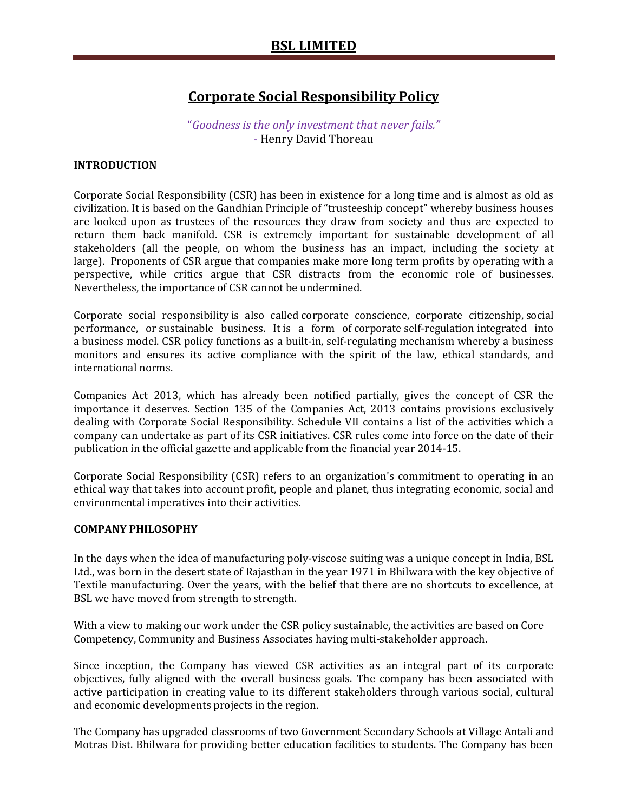# **Corporate Social Responsibility Policy**

## "*Goodness is the only investment that never fails."* - Henry David Thoreau

#### **INTRODUCTION**

Corporate Social Responsibility (CSR) has been in existence for a long time and is almost as old as civilization. It is based on the Gandhian Principle of "trusteeship concept" whereby business houses are looked upon as trustees of the resources they draw from society and thus are expected to return them back manifold. CSR is extremely important for sustainable development of all stakeholders (all the people, on whom the business has an impact, including the society at large). Proponents of CSR argue that companies make more long term profits by operating with a perspective, while critics argue that CSR distracts from the economic role of businesses. Nevertheless, the importance of CSR cannot be undermined.

Corporate social responsibility is also called corporate conscience, corporate citizenship, social performance, or sustainable business. It is a form of corporate self-regulation integrated into a business model. CSR policy functions as a built-in, self-regulating mechanism whereby a business monitors and ensures its active compliance with the spirit of the law, ethical standards, and international norms.

Companies Act 2013, which has already been notified partially, gives the concept of CSR the importance it deserves. Section 135 of the Companies Act, 2013 contains provisions exclusively dealing with Corporate Social Responsibility. Schedule VII contains a list of the activities which a company can undertake as part of its CSR initiatives. CSR rules come into force on the date of their publication in the official gazette and applicable from the financial year 2014-15.

Corporate Social Responsibility (CSR) refers to an organization's commitment to operating in an ethical way that takes into account profit, people and planet, thus integrating economic, social and environmental imperatives into their activities.

#### **COMPANY PHILOSOPHY**

In the days when the idea of manufacturing poly-viscose suiting was a unique concept in India, BSL Ltd., was born in the desert state of Rajasthan in the year 1971 in Bhilwara with the key objective of Textile manufacturing. Over the years, with the belief that there are no shortcuts to excellence, at BSL we have moved from strength to strength.

With a view to making our work under the CSR policy sustainable, the activities are based on Core Competency, Community and Business Associates having multi-stakeholder approach.

Since inception, the Company has viewed CSR activities as an integral part of its corporate objectives, fully aligned with the overall business goals. The company has been associated with active participation in creating value to its different stakeholders through various social, cultural and economic developments projects in the region.

The Company has upgraded classrooms of two Government Secondary Schools at Village Antali and Motras Dist. Bhilwara for providing better education facilities to students. The Company has been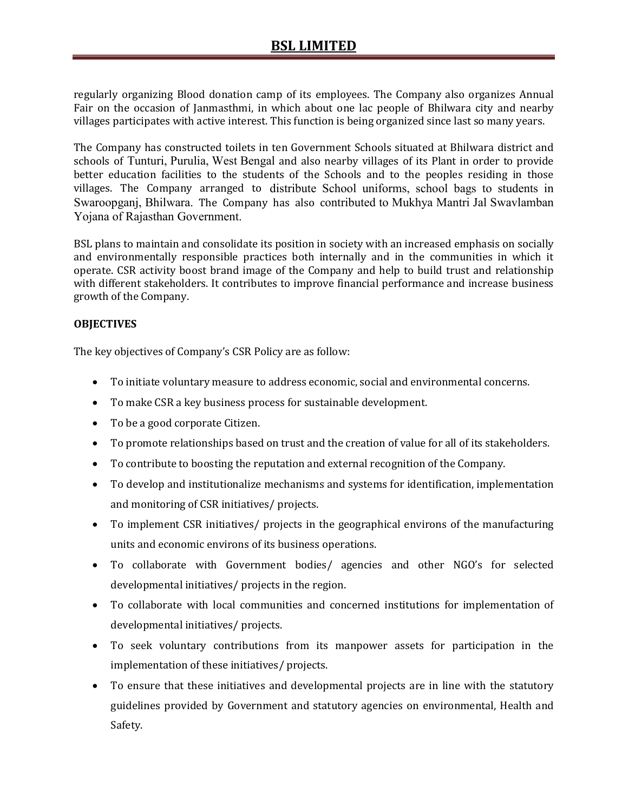regularly organizing Blood donation camp of its employees. The Company also organizes Annual Fair on the occasion of Janmasthmi, in which about one lac people of Bhilwara city and nearby villages participates with active interest. This function is being organized since last so many years.

The Company has constructed toilets in ten Government Schools situated at Bhilwara district and schools of Tunturi, Purulia, West Bengal and also nearby villages of its Plant in order to provide better education facilities to the students of the Schools and to the peoples residing in those villages. The Company arranged to distribute School uniforms, school bags to students in Swaroopganj, Bhilwara. The Company has also contributed to Mukhya Mantri Jal Swavlamban Yojana of Rajasthan Government.

BSL plans to maintain and consolidate its position in society with an increased emphasis on socially and environmentally responsible practices both internally and in the communities in which it operate. CSR activity boost brand image of the Company and help to build trust and relationship with different stakeholders. It contributes to improve financial performance and increase business growth of the Company.

### **OBJECTIVES**

The key objectives of Company's CSR Policy are as follow:

- To initiate voluntary measure to address economic, social and environmental concerns.
- To make CSR a key business process for sustainable development.
- To be a good corporate Citizen.
- To promote relationships based on trust and the creation of value for all of its stakeholders.
- To contribute to boosting the reputation and external recognition of the Company.
- To develop and institutionalize mechanisms and systems for identification, implementation and monitoring of CSR initiatives/ projects.
- To implement CSR initiatives/ projects in the geographical environs of the manufacturing units and economic environs of its business operations.
- To collaborate with Government bodies/ agencies and other NGO's for selected developmental initiatives/ projects in the region.
- To collaborate with local communities and concerned institutions for implementation of developmental initiatives/ projects.
- To seek voluntary contributions from its manpower assets for participation in the implementation of these initiatives/ projects.
- To ensure that these initiatives and developmental projects are in line with the statutory guidelines provided by Government and statutory agencies on environmental, Health and Safety.